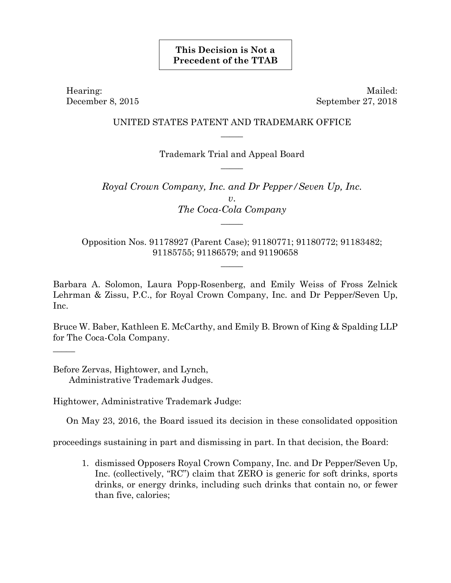## **This Decision is Not a Precedent of the TTAB**

Hearing: Mailed: December 8, 2015 September 27, 2018

## UNITED STATES PATENT AND TRADEMARK OFFICE  $\overline{\phantom{a}}$

Trademark Trial and Appeal Board  $\overline{\phantom{a}}$ 

*Royal Crown Company, Inc. and Dr Pepper/Seven Up, Inc. v*. *The Coca-Cola Company*   $\overline{\phantom{a}}$ 

Opposition Nos. 91178927 (Parent Case); 91180771; 91180772; 91183482; 91185755; 91186579; and 91190658

 $\overline{\phantom{a}}$ 

Barbara A. Solomon, Laura Popp-Rosenberg, and Emily Weiss of Fross Zelnick Lehrman & Zissu, P.C., for Royal Crown Company, Inc. and Dr Pepper/Seven Up, Inc.

Bruce W. Baber, Kathleen E. McCarthy, and Emily B. Brown of King & Spalding LLP for The Coca-Cola Company.

Before Zervas, Hightower, and Lynch, Administrative Trademark Judges.

 $\overline{\phantom{a}}$ 

Hightower, Administrative Trademark Judge:

On May 23, 2016, the Board issued its decision in these consolidated opposition

proceedings sustaining in part and dismissing in part. In that decision, the Board:

1. dismissed Opposers Royal Crown Company, Inc. and Dr Pepper/Seven Up, Inc. (collectively, "RC") claim that ZERO is generic for soft drinks, sports drinks, or energy drinks, including such drinks that contain no, or fewer than five, calories;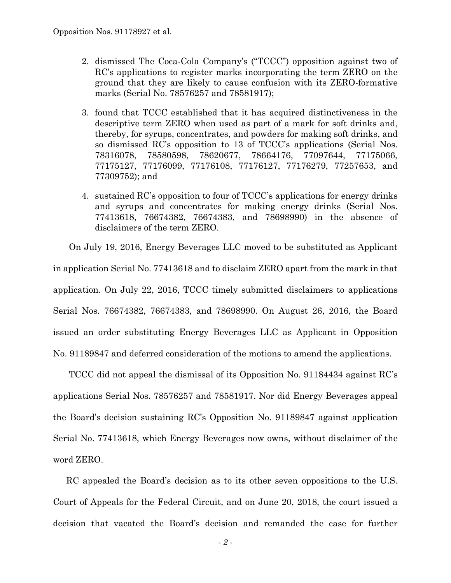- 2. dismissed The Coca-Cola Company's ("TCCC") opposition against two of RC's applications to register marks incorporating the term ZERO on the ground that they are likely to cause confusion with its ZERO-formative marks (Serial No. 78576257 and 78581917);
- 3. found that TCCC established that it has acquired distinctiveness in the descriptive term ZERO when used as part of a mark for soft drinks and, thereby, for syrups, concentrates, and powders for making soft drinks, and so dismissed RC's opposition to 13 of TCCC's applications (Serial Nos. 78316078, 78580598, 78620677, 78664176, 77097644, 77175066, 77175127, 77176099, 77176108, 77176127, 77176279, 77257653, and 77309752); and
- 4. sustained RC's opposition to four of TCCC's applications for energy drinks and syrups and concentrates for making energy drinks (Serial Nos. 77413618, 76674382, 76674383, and 78698990) in the absence of disclaimers of the term ZERO.

On July 19, 2016, Energy Beverages LLC moved to be substituted as Applicant in application Serial No. 77413618 and to disclaim ZERO apart from the mark in that application. On July 22, 2016, TCCC timely submitted disclaimers to applications Serial Nos. 76674382, 76674383, and 78698990. On August 26, 2016, the Board issued an order substituting Energy Beverages LLC as Applicant in Opposition No. 91189847 and deferred consideration of the motions to amend the applications.

TCCC did not appeal the dismissal of its Opposition No. 91184434 against RC's applications Serial Nos. 78576257 and 78581917. Nor did Energy Beverages appeal the Board's decision sustaining RC's Opposition No. 91189847 against application Serial No. 77413618, which Energy Beverages now owns, without disclaimer of the word ZERO.

RC appealed the Board's decision as to its other seven oppositions to the U.S. Court of Appeals for the Federal Circuit, and on June 20, 2018, the court issued a decision that vacated the Board's decision and remanded the case for further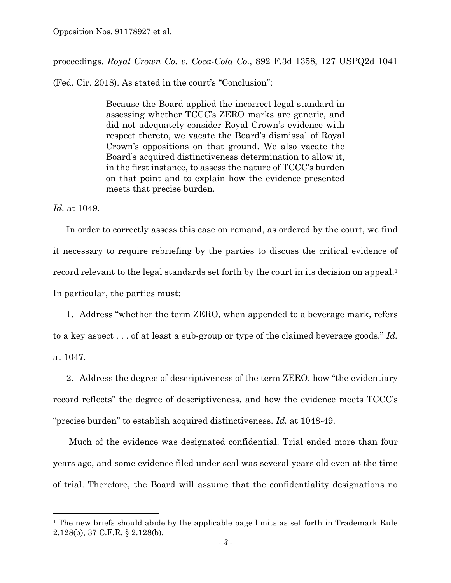Opposition Nos. 91178927 et al.

proceedings. *Royal Crown Co. v. Coca-Cola Co.*, 892 F.3d 1358, 127 USPQ2d 1041

(Fed. Cir. 2018). As stated in the court's "Conclusion":

Because the Board applied the incorrect legal standard in assessing whether TCCC's ZERO marks are generic, and did not adequately consider Royal Crown's evidence with respect thereto, we vacate the Board's dismissal of Royal Crown's oppositions on that ground. We also vacate the Board's acquired distinctiveness determination to allow it, in the first instance, to assess the nature of TCCC's burden on that point and to explain how the evidence presented meets that precise burden.

*Id.* at 1049.

 $\overline{a}$ 

In order to correctly assess this case on remand, as ordered by the court, we find it necessary to require rebriefing by the parties to discuss the critical evidence of record relevant to the legal standards set forth by the court in its decision on appeal.<sup>1</sup> In particular, the parties must:

1. Address "whether the term ZERO, when appended to a beverage mark, refers to a key aspect . . . of at least a sub-group or type of the claimed beverage goods." *Id.* at 1047.

2. Address the degree of descriptiveness of the term ZERO, how "the evidentiary record reflects" the degree of descriptiveness, and how the evidence meets TCCC's "precise burden" to establish acquired distinctiveness. *Id.* at 1048-49.

Much of the evidence was designated confidential. Trial ended more than four years ago, and some evidence filed under seal was several years old even at the time of trial. Therefore, the Board will assume that the confidentiality designations no

<sup>&</sup>lt;sup>1</sup> The new briefs should abide by the applicable page limits as set forth in Trademark Rule 2.128(b), 37 C.F.R. § 2.128(b).